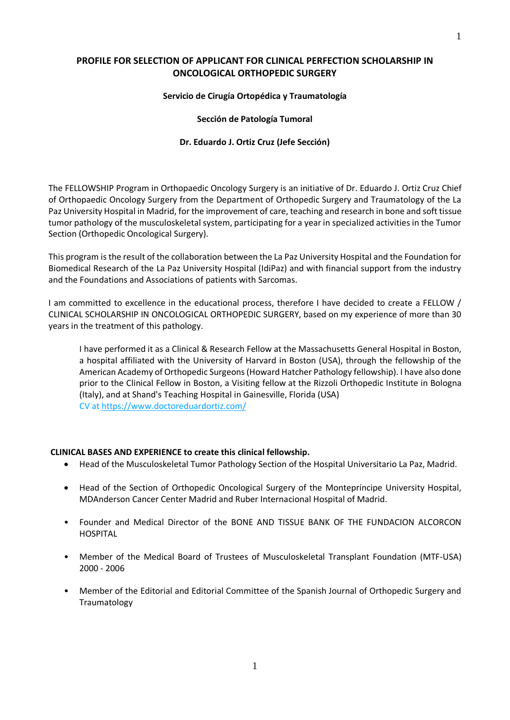# **PROFILE FOR SELECTION OF APPLICANT FOR CLINICAL PERFECTION SCHOLARSHIP IN ONCOLOGICAL ORTHOPEDIC SURGERY**

#### **Servicio de Cirugía Ortopédica y Traumatología**

#### **Sección de Patología Tumoral**

#### **Dr. Eduardo J. Ortiz Cruz (Jefe Sección)**

The FELLOWSHIP Program in Orthopaedic Oncology Surgery is an initiative of Dr. Eduardo J. Ortiz Cruz Chief of Orthopaedic Oncology Surgery from the Department of Orthopedic Surgery and Traumatology of the La Paz University Hospital in Madrid, for the improvement of care, teaching and research in bone and soft tissue tumor pathology of the musculoskeletal system, participating for a year in specialized activities in the Tumor Section (Orthopedic Oncological Surgery).

This program is the result of the collaboration between the La Paz University Hospital and the Foundation for Biomedical Research of the La Paz University Hospital (IdiPaz) and with financial support from the industry and the Foundations and Associations of patients with Sarcomas.

I am committed to excellence in the educational process, therefore I have decided to create a FELLOW / CLINICAL SCHOLARSHIP IN ONCOLOGICAL ORTHOPEDIC SURGERY, based on my experience of more than 30 years in the treatment of this pathology.

I have performed it as a Clinical & Research Fellow at the Massachusetts General Hospital in Boston, a hospital affiliated with the University of Harvard in Boston (USA), through the fellowship of the American Academy of Orthopedic Surgeons(Howard Hatcher Pathology fellowship). I have also done prior to the Clinical Fellow in Boston, a Visiting fellow at the Rizzoli Orthopedic Institute in Bologna (Italy), and at Shand's Teaching Hospital in Gainesville, Florida (USA) CV at <https://www.doctoreduardortiz.com/>

## **CLINICAL BASES AND EXPERIENCE to create this clinical fellowship.**

- Head of the Musculoskeletal Tumor Pathology Section of the Hospital Universitario La Paz, Madrid.
- Head of the Section of Orthopedic Oncological Surgery of the Montepríncipe University Hospital, MDAnderson Cancer Center Madrid and Ruber Internacional Hospital of Madrid.
- Founder and Medical Director of the BONE AND TISSUE BANK OF THE FUNDACION ALCORCON HOSPITAL
- Member of the Medical Board of Trustees of Musculoskeletal Transplant Foundation (MTF-USA) 2000 - 2006
- Member of the Editorial and Editorial Committee of the Spanish Journal of Orthopedic Surgery and Traumatology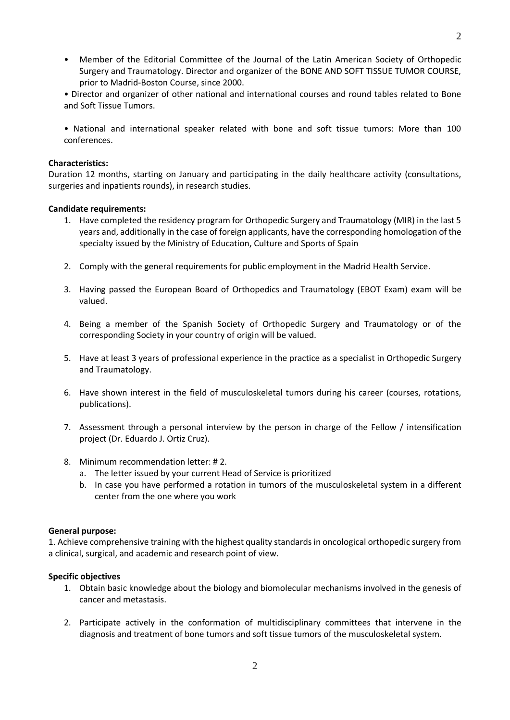• Member of the Editorial Committee of the Journal of the Latin American Society of Orthopedic Surgery and Traumatology. Director and organizer of the BONE AND SOFT TISSUE TUMOR COURSE, prior to Madrid-Boston Course, since 2000.

• Director and organizer of other national and international courses and round tables related to Bone and Soft Tissue Tumors.

• National and international speaker related with bone and soft tissue tumors: More than 100 conferences.

## **Characteristics:**

Duration 12 months, starting on January and participating in the daily healthcare activity (consultations, surgeries and inpatients rounds), in research studies.

#### **Candidate requirements:**

- 1. Have completed the residency program for Orthopedic Surgery and Traumatology (MIR) in the last 5 years and, additionally in the case of foreign applicants, have the corresponding homologation of the specialty issued by the Ministry of Education, Culture and Sports of Spain
- 2. Comply with the general requirements for public employment in the Madrid Health Service.
- 3. Having passed the European Board of Orthopedics and Traumatology (EBOT Exam) exam will be valued.
- 4. Being a member of the Spanish Society of Orthopedic Surgery and Traumatology or of the corresponding Society in your country of origin will be valued.
- 5. Have at least 3 years of professional experience in the practice as a specialist in Orthopedic Surgery and Traumatology.
- 6. Have shown interest in the field of musculoskeletal tumors during his career (courses, rotations, publications).
- 7. Assessment through a personal interview by the person in charge of the Fellow / intensification project (Dr. Eduardo J. Ortiz Cruz).
- 8. Minimum recommendation letter: # 2.
	- a. The letter issued by your current Head of Service is prioritized
	- b. In case you have performed a rotation in tumors of the musculoskeletal system in a different center from the one where you work

## **General purpose:**

1. Achieve comprehensive training with the highest quality standards in oncological orthopedic surgery from a clinical, surgical, and academic and research point of view.

## **Specific objectives**

- 1. Obtain basic knowledge about the biology and biomolecular mechanisms involved in the genesis of cancer and metastasis.
- 2. Participate actively in the conformation of multidisciplinary committees that intervene in the diagnosis and treatment of bone tumors and soft tissue tumors of the musculoskeletal system.